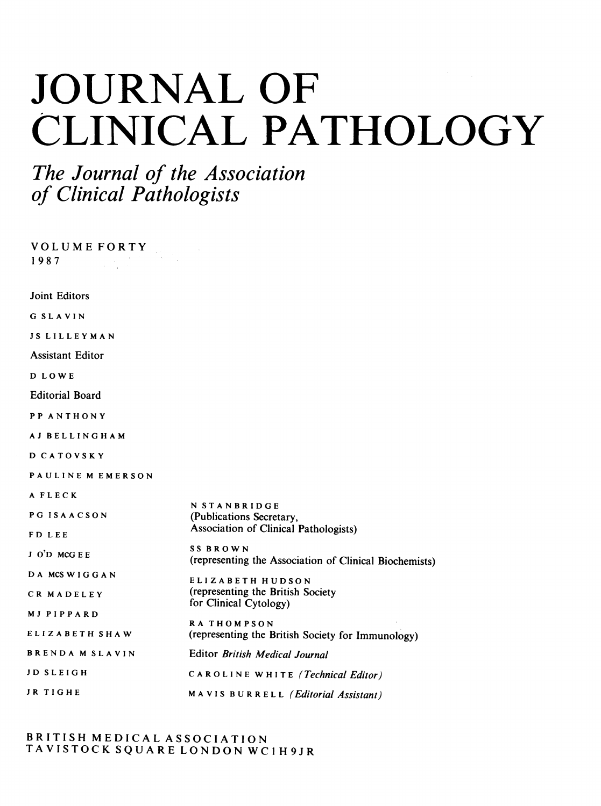# JOURNAL OF CLINICAL PATHOLOGY

## The Journal of the Association of Clinical Pathologists

VOLUME FORTY 1 9 8 7 Joint Editors G SLAVIN JS LILLEYMAN Assistant Editor D LOWE Editorial Board PP ANTHONY AJ BELLINGHAM D CATOVSKY PAULINE M EMERSON A FLECK PG ISAACSON FD LEE <sup>J</sup> O'D MCG E E DA MCSWIGGAN CR MADELEY MJ PIPPARD ELIZABETH SHAW BRENDA M SLAVIN JD SLEIGH JR TIGHE N STANBRIDGE (Publications Secretary, Association of Clinical Pathologists) SS BROWN (representing the Association of Clinical Biochemists) ELIZABETH HUDSON (representing the British Society for Clinical Cytology) RA THOMPSON (representing the British Society for Immunology) Editor British Medical Journal CAROLINE WHITE (Technical Editor) MAVIS BURRELL (Editorial Assistant)

BRITISH MEDICAL ASSOCIATION TAVISTOCK SQUARE LONDON WCI H9JR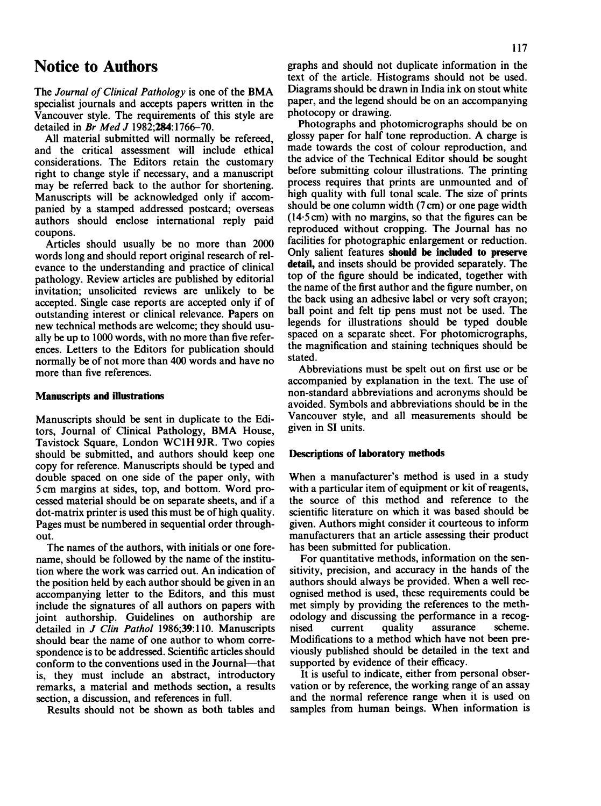## Notice to Authors

The Journal of Clinical Pathology is one of the BMA specialist journals and accepts papers written in the Vancouver style. The requirements of this style are detailed in Br Med J 1982;284:1766-70.

All material submitted will normally be refereed, and the critical assessment will include ethical considerations. The Editors retain the customary right to change style if necessary, and a manuscript may be referred back to the author for shortening. Manuscripts will be acknowledged only if accompanied by a stamped addressed postcard; overseas authors should enclose international reply paid coupons.

Articles should usually be no more than 2000 words long and should report original research of relevance to the understanding and practice of clinical pathology. Review articles are published by editorial invitation; unsolicited reviews are unlikely to be accepted. Single case reports are accepted only if of outstanding interest or clinical relevance. Papers on new technical methods are welcome; they should usually be up to 1000 words, with no more than five references. Letters to the Editors for publication should normally be of not more than 400 words and have no more than five references.

#### Manuscripts and illustrations

Manuscripts should be sent in duplicate to the Editors, Journal of Clinical Pathology, BMA House, Tavistock Square, London WCIH 9JR. Two copies should be submitted, and authors should keep one copy for reference. Manuscripts should be typed and double spaced on one side of the paper only, with 5cm margins at sides, top, and bottom. Word processed material should be on separate sheets, and if a dot-matrix printer is used this must be of high quality. Pages must be numbered in sequential order throughout.

The names of the authors, with initials or one forename, should be followed by the name of the institution where the work was carried out. An indication of the position held by each author should be given in an accompanying letter to the Editors, and this must include the signatures of all authors on papers with joint authorship. Guidelines on authorship are detailed in  $J$  Clin Pathol 1986;39:110. Manuscripts should bear the name of one author to whom correspondence is to be addressed. Scientific articles should conform to the conventions used in the Journal—that is, they must include an abstract, introductory remarks, a material and methods section, a results section, a discussion, and references in full.

Results should not be shown as both tables and

graphs and should not duplicate information in the text of the article. Histograms should not be used. Diagrams should be drawn in India ink on stout white paper, and the legend should be on an accompanying photocopy or drawing.

Photographs and photomicrographs should be on glossy paper for half tone reproduction. A charge is made towards the cost of colour reproduction, and the advice of the Technical Editor should be sought before submitting colour illustrations. The printing process requires that prints are unmounted and of high quality with full tonal scale. The size of prints should be one column width (7 cm) or one page width (14-5 cm) with no margins, so that the figures can be reproduced without cropping. The Journal has no facilities for photographic enlargement or reduction. Only salient features should be included to preserve detail, and insets should be provided separately. The top of the figure should be indicated, together with the name of the first author and the figure number, on the back using an adhesive label or very soft crayon; ball point and felt tip pens must not be used. The legends for illustrations should be typed double spaced on a separate sheet. For photomicrographs, the magnification and staining techniques should be stated.

Abbreviations must be spelt out on first use or be accompanied by explanation in the text. The use of non-standard abbreviations and acronyms should be avoided. Symbols and abbreviations should be in the Vancouver style, and all measurements should be given in SI units.

#### Descriptions of laboratory methods

When a manufacturer's method is used in <sup>a</sup> study with a particular item of equipment or kit of reagents, the source of this method and reference to the scientific literature on which it was based should be given. Authors might consider it courteous to inform manufacturers that an article assessing their product has been submitted for publication.

For quantitative methods, information on the sensitivity, precision, and accuracy in the hands of the authors should always be provided. When a well recognised method is used, these requirements could be met simply by providing the references to the methodology and discussing the performance in a recogassurance Modifications to a method which have not been previously published should be detailed in the text and supported by evidence of their efficacy.

It is useful to indicate, either from personal observation or by reference, the working range of an assay and the normal reference range when it is used on samples from human beings. When information is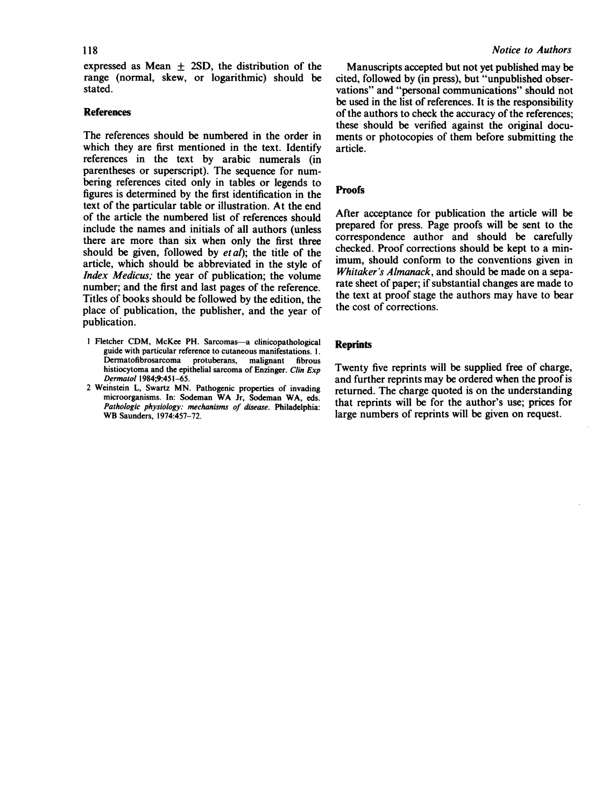118

expressed as Mean  $\pm$  2SD, the distribution of the range (normal, skew, or logarithmic) should be stated.

#### References

The references should be numbered in the order in which they are first mentioned in the text. Identify references in the text by arabic numerals (in parentheses or superscript). The sequence for numbering references cited only in tables or legends to figures is determined by the first identification in the text of the particular table or illustration. At the end of the article the numbered list of references should include the names and initials of all authors (unless there are more than six when only the first three should be given, followed by  $eta$ ); the title of the article, which should be abbreviated in the style of Index Medicus; the year of publication; the volume number; and the first and last pages of the reference. Titles of books should be followed by the edition, the place of publication, the publisher, and the year of publication.

- <sup>I</sup> Fletcher CDM, McKee PH. Sarcomas-a clinicopathological guide with particular reference to cutaneous manifestations. 1.<br>Dermatofibrosarcoma protuberans. malignant fibrous protuberans, malignant histiocytoma and the epithelial sarcoma of Enzinger. Clin Exp Dermatol 1984;9:451-65.
- <sup>2</sup> Weinstein L, Swartz MN. Pathogenic properties of invading microorganisms. In: Sodeman WA Jr, Sodeman WA, eds. Pathologic physiology: mechanisms of disease. Philadelphia: WB Saunders, 1974:457-72.

Manuscripts accepted but not yet published may be cited, followed by (in press), but "unpublished observations" and "personal communications" should not be used in the list of references. It is the responsibility of the authors to check the accuracy of the references; these should be verified against the original documents or photocopies of them before submitting the article.

#### **Proofs**

After acceptance for publication the article will be prepared for press. Page proofs will be sent to the correspondence author and should be carefully checked. Proof corrections should be kept to a minimum, should conform to the conventions given in Whitaker's Almanack, and should be made on a separate sheet of paper; if substantial changes are made to the text at proof stage the authors may have to bear the cost of corrections.

#### **Reprints**

Twenty five reprints will be supplied free of charge, and further reprints may be ordered when the proof is returned. The charge quoted is on the understanding that reprints will be for the author's use; prices for large numbers of reprints will be given on request.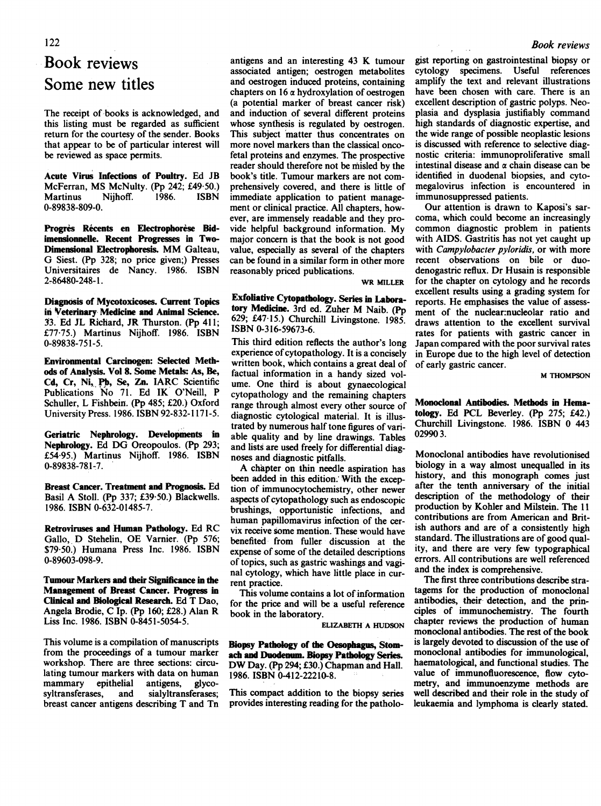## $1200 \text{r}$  reviews Book reviews Some new titles

The receipt of books is acknowledged, and this listing must be regarded as sufficient return for the courtesy of the sender. Books that appear to be of particular interest will be reviewed as space permits.

Acute Virus Infections of Poultry. Ed JB McFerran, MS McNulty. (Pp 242; £49.50.)<br>Martinus Niihoff. 1986. ISBN **Martinus** 0-89838-809-0.

Progrès Récents en Electrophorèse Bidimensionnelie. Recent Progresses in Two-Dimensional Electrophoresis. MM Galteau, G Siest. (Pp 328; no price given;) Presses Universitaires de Nancy. 1986. ISBN 2-86480-248- 1.

Diagnosis of Mycotoxicoses. Current Topics in Veterinary Medicine and Animal Science. 53. Ed JL Richard, JR Thurston. (Pp 411; £77-75.) Martinus Nijhoff. 1986. ISBN 0-89838-751-5.

Environmental Carcinogen: Selected Methods of Analysis. Vol 8. Some Metals: As, Be, Cd, Cr, Ni, Pb, Se, Zn. IARC Scientific Publications No 71. Ed IK <sup>O</sup>'Neill, P Schuller, L Fishbein. (Pp 485; £20.) Oxford University Press. 1986. ISBN 92-832-1171-5.

Geriatric Nephrology. Developments in Nephrology. Ed DG Oreopoulos. (Pp 293; £54-95.) Martinus Nijhoff. 1986. ISBN 0-89838-781-7.

Breast Cancer. Treatment and Prognosis. Ed Basil A Stoll. (Pp 337; £39-50.) Blackwells. 1986. ISBN 0-632-01485-7.

Retroviruses and Human Pathology. Ed RC Gallo, D Stehelin, OE Varnier. (Pp 576; \$79 50.) Humana Press Inc. 1986. ISBN 0-89603-098-9.

Tumour Markers and their Significance in the Management of Breast Cancer. Progress in Clinical and Biological Research. Ed T Dao, Angela Brodie, C Ip. (Pp 160; £28.) Alan R Liss Inc. 1986. ISBN 0-8451-5054-5.

This volume is a compilation of manuscripts from the proceedings of a tumour marker workshop. There are three sections: circulating tumour markers with data on human<br>mammary epithelial antigens, glycomammary epithelial<br>syltransferases, and sialyltransferases; breast cancer antigens describing T and Tn

antigens and an interesting <sup>43</sup> K tumour associated antigen; oestrogen metabolites and oestrogen induced proteins, containing chapters on  $16 \alpha$  hydroxylation of oestrogen (a potential marker of breast cancer risk) and induction of several different proteins whose synthesis is regulated by oestrogen. This subject 'matter thus concentrates on more novel markers than the classical oncofetal proteins and enzymes. The prospective reader should therefore not be misled by the book's title. Tumour markers are not comprehensively covered, and there is little of immediate application to patient management or clinical practice. All chapters, however, are immensely readable and they provide helpful background information. My major concern is that the book is not good value, especially as several of the chapters can be found in a similar form in other more reasonably priced publications.

WR MILLER

Exfoliative Cytopathology. Series in Laboratory Medicine. 3rd ed. Zuher M Naib. (Pp 629; £47 15.) Churchill Livingstone. 1985. ISBN 0-316-59673-6.

This third edition reflects the author's long experience of cytopathology. It is a concisely written book, which contains a great deal of factual information in a handy sized volume. One third is about gynaecological cytopathology and the remaining chapters range through almost every other source of diagnostic cytological material. It is illustrated by numerous half tone figures of variable quality and by line drawings. Tables and lists are used freely for differential diagnoses and diagnostic pitfalls.

A chapter on thin needle aspiration has been added in this edition. With the exception of immunocytochemistry, other newer aspects of cytopathology such as endoscopic brushings, opportunistic infections, and human papillomavirus infection of the cervix receive some mention. These would have benefited from fuller discussion at the expense of some of the detailed descriptions of topics, such as gastric washings and vaginal cytology, which have little place in current practice.

This volume contains a lot of information for the price and will be a useful reference book in the laboratory.

ELIZABETH A HUDSON

Biopsy Pathology of the Oesophagus, Stomach and Duodenum. Biopsy Pathology Series. DW Day. (Pp 294; £30.) Chapman and Hall. 1986. ISBN 0-412-22210-8.

This compact addition to the biopsy series provides interesting reading for the pathologist reporting on gastrointestinal biopsy or cytology specimens. Useful references amplify the text and relevant illustrations have been chosen with care. There is an excellent description of gastric polyps. Neoplasia and dysplasia justifiably command high standards of diagnostic expertise, and the wide range of possible neoplastic lesions is discussed with reference to selective diagnostic criteria: immunoproliferative small intestinal disease and  $\alpha$  chain disease can be identified in duodenal biopsies, and cytomegalovirus infection is encountered in immunosuppressed patients.

Our attention is drawn to Kaposi's sarcoma, which could become an increasingly common diagnostic problem in patients with AIDS. Gastritis has not yet caught up with Campylobacter pyloridis, or with more recent observations on bile or duodenogastric reflux. Dr Husain is responsible for the chapter on cytology and he records excellent results using a grading system for reports. He emphasises the value of assessment of the nuclear:nucleolar ratio and draws attention to the excellent survival rates for patients with gastric cancer in Japan compared with the poor survival rates in Europe due to the high level of detection of early gastric cancer.

M THOMPSON

Monoclonal Antibodies. Methods in Hematology. Ed PCL Beverley. (Pp 275; £42.) Churchill Livingstone. 1986. ISBN 0 443 029903.

Monoclonal antibodies have revolutionised biology in a way almost unequalled in its history, and this monograph comes just after the tenth anniversary of the initial description of the methodology of their production by Kohler and Milstein. The <sup>11</sup> contributions are from American and British authors and are of a consistently high standard. The illustrations are of good quality, and there are very few typographical errors. All contributions are well referenced and the index is comprehensive.

The first three contributions describe stratagems for the production of monoclonal antibodies, their detection, and the principles of immunochemistry. The fourth chapter reviews the production of human monoclonal antibodies. The rest of the book is largely devoted to discussion of the use of monoclonal antibodies for immunological, haematological, and functional studies. The value of immunofluorescence, flow cytometry, and immunoenzyme methods are well described and their role in the study of leukaemia and lymphoma is clearly stated.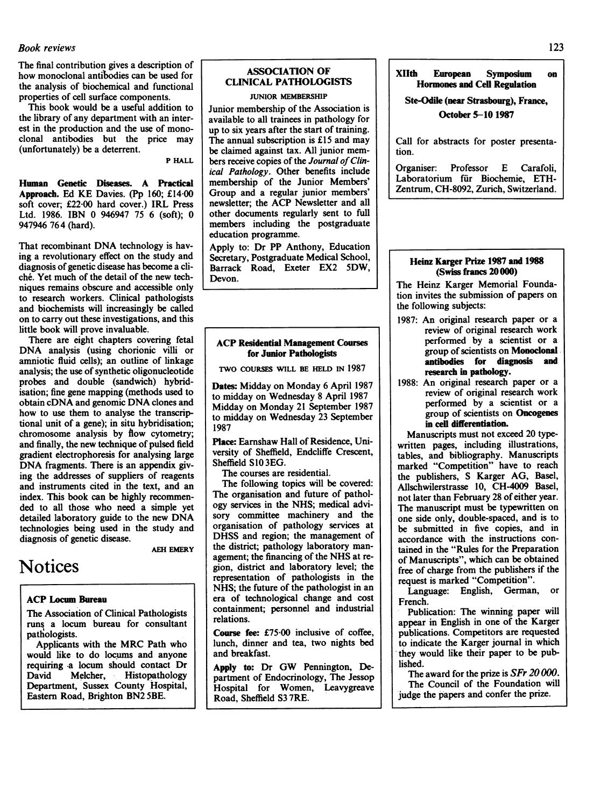#### Book reviews 123

The final contribution gives a description of how monoclonal antibodies can be used for the analysis of biochemical and functional properties of cell surface components.

This book would be a useful addition to the library of any department with an interest in the production and the use of monoclonal antibodies but the price may (unfortunately) be a deterrent.

P HALL

Human Genetic Diseases. A Practical Approach. Ed KE Davies. (Pp 160; £14-00 soft cover; £22-00 hard cover.) IRL Press Ltd. 1986. IBN 0 946947 75 6 (soft); 0 947946 76 4 (hard).

That recombinant DNA technology is having a revolutionary effect on the study and diagnosis of genetic disease has become a cliche. Yet much of the detail of the new techniques remains obscure and accessible only to research workers. Clinical pathologists and biochemists will increasingly be called on to carry out these investigations, and this little book will prove invaluable.

There are eight chapters covering fetal DNA analysis (using chorionic villi or amniotic fluid cells); an outline of linkage analysis; the use of synthetic oligonucleotide probes and double (sandwich) hybridisation; fine gene mapping (methods used to obtain cDNA and genomic DNA clones and how to use them to analyse the transcriptional unit of a gene); in situ hybridisation; chromosome analysis by flow cytometry; and finally, the new technique of pulsed field gradient electrophoresis for analysing large DNA fragments. There is an appendix giving the addresses of suppliers of reagents and instruments cited in the text, and an index. This book can be highly recommended to all those who need a simple yet detailed laboratory guide to the new DNA technologies being used in the study and diagnosis of genetic disease.

**AEH EMERY** 

## Notices

#### ACP locum Bureau

The Association of Clinical Pathologists runs a locum bureau for consultant pathologists.

Applicants with the MRC Path who would like to do locums and anyone requiring a locum should contact Dr<br>David Melcher, Histopathology Melcher, Histopathology Department, Sussex County Hospital, Eastern Road, Brighton BN2 SBE.

### ASSOCIATION OF CLINICAL PATHOLOGISTS

#### JUNIOR MEMBERSHIP

Junior membership of the Association is available to all trainees in pathology for up to six years after the start of training. The annual subscription is £15 and may be claimed against tax. All junior members receive copies of the Journal of Clinical Pathology. Other benefits include membership of the Junior Members' Group and a regular junior members' newsletter; the ACP Newsletter and all other documents regularly sent to full members including the postgraduate education programme.

Apply to: Dr PP Anthony, Education Secretary, Postgraduate Medical School, Barrack Road, Exeter EX2 SDW, Devon.

#### ACP Residential Management Courses for Junior Pathologists

TWO COURSES WILL BE HELD IN 1987

Dates: Midday on Monday 6 April 1987 to midday on Wednesday 8 April 1987 Midday on Monday 21 September 1987 to midday on Wednesday 23 September 1987

Place: Earnshaw Hall of Residence, University of Sheffield, Endcliffe Crescent, Sheffield S10 3EG.

The courses are residential.

The following topics will be covered: The organisation and future of pathology services in the NHS; medical advisory committee machinery and the organisation of pathology services at DHSS and region; the management of the district; pathology laboratory management; the financing of the NHS at region, district and laboratory level; the representation of pathologists in the NHS; the future of the pathologist in an era of technological change and cost containment; personnel and industrial relations.

Course fee: £75-00 inclusive of coffee, lunch, dinner and tea, two nights bed and breakfast.

Apply to: Dr GW Pennington, Department of Endocrinology, The Jessop Hospital for Women, Leavygreave Road, Sheffield S3 7RE.

#### XIIth European Symposium on Hormones and Cell Regulation

Ste-Odile (near Strasbourg), France, October 5-10 1987

Call for abstracts for poster presentation.

Organiser: Professor E Carafoli, Laboratorium für Biochemie, ETH-Zentrum, CH-8092, Zurich, Switzerland.

#### Heinz Karger Prize 1987 and 1988 (Swiss francs 20 000)

The Heinz Karger Memorial Foundation invites the submission of papers on the following subjects:

- 1987: An original research paper or a review of original research work performed by a scientist or a group of scientists on Monoclonal antibodies for diagnosis and research in pathology.
- 1988: An original research paper or a review of original research work performed by a scientist or a group of scientists on Oncogenes in cell differentiation.

Manuscripts must not exceed 20 typewritten pages, including illustrations, tables, and bibliography. Manuscripts marked "Competition" have to reach the publishers, S Karger AG, Basel, Allschwilerstrasse 10, CH-4009 Basel, not later than February 28 of either year. The manuscript must be typewritten on one side only, double-spaced, and is to be submitted in five copies, and in accordance with the instructions contained in the "Rules for the Preparation of Manuscripts", which can be obtained free of charge from the publishers if the request is marked "Competition".

Language: English, German, or French.

Publication: The winning paper will appear in English in one of the Karger publications. Competitors are requested to indicate the Karger journal in which they would like their paper to be published.

The award for the prize is SFr 20000. The Council of the Foundation will judge the papers and confer the prize.